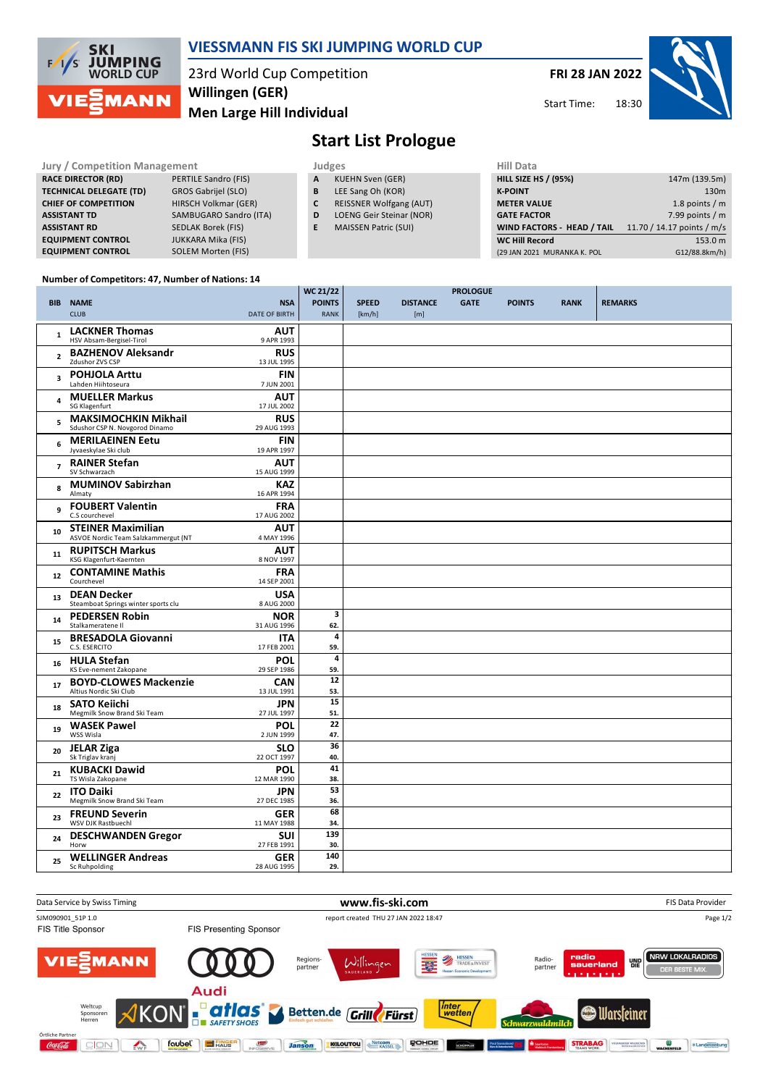

### **VIESSMANN FIS SKI JUMPING WORLD CUP**

23rd World Cup Competition **Men Large Hill Individual Willingen (GER)**

**FRI 28 JAN 2022**

Start Time:



# **Start List Prologue**

| <b>Jury / Competition Management</b> |                           |   | Judges                         | Hill Data                         |                            |  |  |
|--------------------------------------|---------------------------|---|--------------------------------|-----------------------------------|----------------------------|--|--|
| <b>RACE DIRECTOR (RD)</b>            | PERTILE Sandro (FIS)      | A | <b>KUEHN Sven (GER)</b>        | <b>HILL SIZE HS / (95%)</b>       | 147m (139.5m)              |  |  |
| <b>TECHNICAL DELEGATE (TD)</b>       | GROS Gabrijel (SLO)       | B | LEE Sang Oh (KOR)              | <b>K-POINT</b>                    | 130 <sub>m</sub>           |  |  |
| <b>CHIEF OF COMPETITION</b>          | HIRSCH Volkmar (GER)      | С | <b>REISSNER Wolfgang (AUT)</b> | <b>METER VALUE</b>                | 1.8 points / m             |  |  |
| <b>ASSISTANT TD</b>                  | SAMBUGARO Sandro (ITA)    | D | LOENG Geir Steinar (NOR)       | <b>GATE FACTOR</b>                | 7.99 points $/m$           |  |  |
| <b>ASSISTANT RD</b>                  | SEDLAK Borek (FIS)        |   | <b>MAISSEN Patric (SUI)</b>    | <b>WIND FACTORS - HEAD / TAIL</b> | 11.70 / 14.17 points / m/s |  |  |
| <b>EQUIPMENT CONTROL</b>             | <b>JUKKARA Mika (FIS)</b> |   |                                | <b>WC Hill Record</b>             | 153.0 m                    |  |  |
| <b>EQUIPMENT CONTROL</b>             | SOLEM Morten (FIS)        |   |                                | (29 JAN 2021 MURANKA K. POL       | G12/88.8km/h)              |  |  |

#### **Number of Competitors: 47, Number of Nations: 14**

|                         |                                                                  |                           | <b>WC 21/22</b> | <b>PROLOGUE</b> |                 |             |               |             |                |
|-------------------------|------------------------------------------------------------------|---------------------------|-----------------|-----------------|-----------------|-------------|---------------|-------------|----------------|
| <b>BIB</b>              | <b>NAME</b>                                                      | <b>NSA</b>                | <b>POINTS</b>   | <b>SPEED</b>    | <b>DISTANCE</b> | <b>GATE</b> | <b>POINTS</b> | <b>RANK</b> | <b>REMARKS</b> |
|                         | <b>CLUB</b>                                                      | DATE OF BIRTH             | <b>RANK</b>     | [km/h]          | [m]             |             |               |             |                |
| $\mathbf{1}$            | <b>LACKNER Thomas</b>                                            | <b>AUT</b>                |                 |                 |                 |             |               |             |                |
|                         | HSV Absam-Bergisel-Tirol                                         | 9 APR 1993                |                 |                 |                 |             |               |             |                |
| $\overline{2}$          | <b>BAZHENOV Aleksandr</b><br>Zdushor ZVS CSP                     | <b>RUS</b><br>13 JUL 1995 |                 |                 |                 |             |               |             |                |
|                         | <b>POHJOLA Arttu</b>                                             | <b>FIN</b>                |                 |                 |                 |             |               |             |                |
| $\overline{\mathbf{3}}$ | Lahden Hiihtoseura                                               | 7 JUN 2001                |                 |                 |                 |             |               |             |                |
| 4                       | <b>MUELLER Markus</b>                                            | <b>AUT</b>                |                 |                 |                 |             |               |             |                |
|                         | SG Klagenfurt                                                    | 17 JUL 2002               |                 |                 |                 |             |               |             |                |
| 5                       | <b>MAKSIMOCHKIN Mikhail</b><br>Sdushor CSP N. Novgorod Dinamo    | <b>RUS</b><br>29 AUG 1993 |                 |                 |                 |             |               |             |                |
| 6                       | <b>MERILAEINEN Eetu</b>                                          | <b>FIN</b>                |                 |                 |                 |             |               |             |                |
|                         | Jyvaeskylae Ski club                                             | 19 APR 1997               |                 |                 |                 |             |               |             |                |
| $\overline{ }$          | <b>RAINER Stefan</b><br>SV Schwarzach                            | <b>AUT</b><br>15 AUG 1999 |                 |                 |                 |             |               |             |                |
|                         | <b>MUMINOV Sabirzhan</b>                                         | KAZ                       |                 |                 |                 |             |               |             |                |
| 8                       | Almaty                                                           | 16 APR 1994               |                 |                 |                 |             |               |             |                |
| 9                       | <b>FOUBERT Valentin</b>                                          | <b>FRA</b>                |                 |                 |                 |             |               |             |                |
|                         | C.S courchevel                                                   | 17 AUG 2002               |                 |                 |                 |             |               |             |                |
| 10                      | <b>STEINER Maximilian</b><br>ASVOE Nordic Team Salzkammergut (NT | <b>AUT</b><br>4 MAY 1996  |                 |                 |                 |             |               |             |                |
|                         | <b>RUPITSCH Markus</b>                                           | <b>AUT</b>                |                 |                 |                 |             |               |             |                |
| 11                      | KSG Klagenfurt-Kaernten                                          | 8 NOV 1997                |                 |                 |                 |             |               |             |                |
| ${\bf 12}$              | <b>CONTAMINE Mathis</b>                                          | <b>FRA</b>                |                 |                 |                 |             |               |             |                |
|                         | Courchevel                                                       | 14 SEP 2001               |                 |                 |                 |             |               |             |                |
| 13                      | <b>DEAN Decker</b><br>Steamboat Springs winter sports clu        | <b>USA</b><br>8 AUG 2000  |                 |                 |                 |             |               |             |                |
| 14                      | <b>PEDERSEN Robin</b>                                            | <b>NOR</b>                | 3               |                 |                 |             |               |             |                |
|                         | Stalkameratene II                                                | 31 AUG 1996               | 62.             |                 |                 |             |               |             |                |
| 15                      | <b>BRESADOLA Giovanni</b><br>C.S. ESERCITO                       | <b>ITA</b><br>17 FEB 2001 | 4<br>59.        |                 |                 |             |               |             |                |
|                         | <b>HULA Stefan</b>                                               | <b>POL</b>                | 4               |                 |                 |             |               |             |                |
| 16                      | KS Eve-nement Zakopane                                           | 29 SEP 1986               | 59.             |                 |                 |             |               |             |                |
| 17                      | <b>BOYD-CLOWES Mackenzie</b>                                     | <b>CAN</b>                | 12              |                 |                 |             |               |             |                |
|                         | Altius Nordic Ski Club                                           | 13 JUL 1991               | 53.<br>15       |                 |                 |             |               |             |                |
| 18                      | <b>SATO Keiichi</b><br>Megmilk Snow Brand Ski Team               | <b>JPN</b><br>27 JUL 1997 | 51.             |                 |                 |             |               |             |                |
| 19                      | <b>WASEK Pawel</b>                                               | <b>POL</b>                | 22              |                 |                 |             |               |             |                |
|                         | WSS Wisla                                                        | 2 JUN 1999                | 47.             |                 |                 |             |               |             |                |
| 20                      | <b>JELAR Ziga</b><br>Sk Triglav kranj                            | <b>SLO</b>                | 36              |                 |                 |             |               |             |                |
|                         | <b>KUBACKI Dawid</b>                                             | 22 OCT 1997<br><b>POL</b> | 40.<br>41       |                 |                 |             |               |             |                |
| 21                      | TS Wisla Zakopane                                                | 12 MAR 1990               | 38.             |                 |                 |             |               |             |                |
| 22                      | <b>ITO Daiki</b>                                                 | <b>JPN</b>                | 53              |                 |                 |             |               |             |                |
|                         | Megmilk Snow Brand Ski Team                                      | 27 DEC 1985               | 36.             |                 |                 |             |               |             |                |
| 23                      | <b>FREUND Severin</b><br>WSV DJK Rastbuechl                      | <b>GER</b><br>11 MAY 1988 | 68<br>34.       |                 |                 |             |               |             |                |
|                         | <b>DESCHWANDEN Gregor</b>                                        | SUI                       | 139             |                 |                 |             |               |             |                |
| 24                      | Horw                                                             | 27 FEB 1991               | 30.             |                 |                 |             |               |             |                |
| 25                      | <b>WELLINGER Andreas</b>                                         | <b>GER</b>                | 140             |                 |                 |             |               |             |                |
|                         | Sc Ruhpolding                                                    | 28 AUG 1995               | 29.             |                 |                 |             |               |             |                |